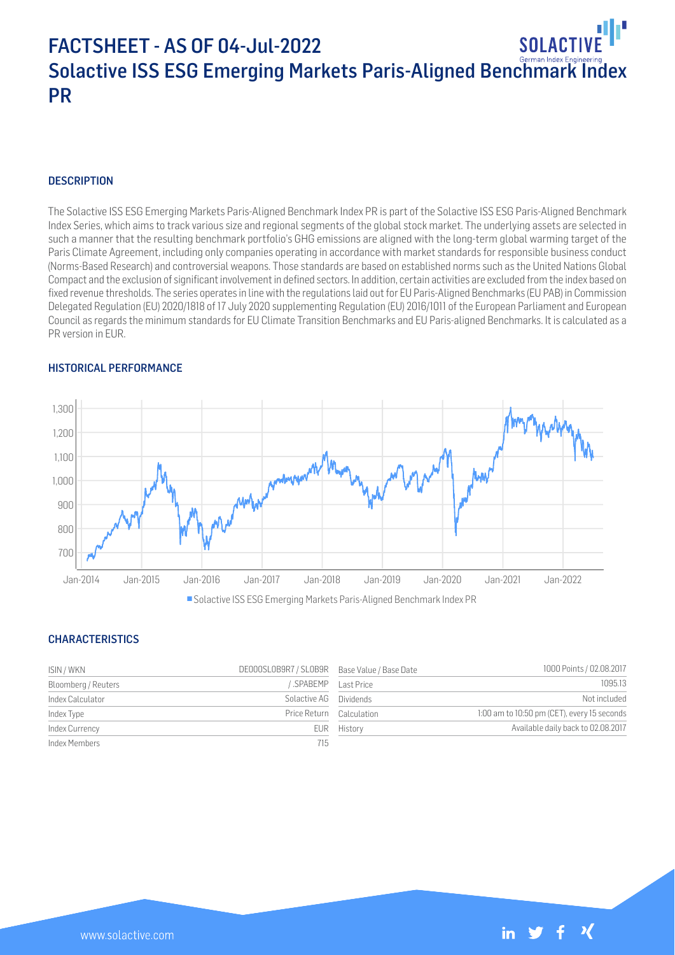# FACTSHEET - AS OF 04-Jul-2022 SOI ACTIV Solactive ISS ESG Emerging Markets Paris-Aligned Benchmark Index PR

# **DESCRIPTION**

The Solactive ISS ESG Emerging Markets Paris-Aligned Benchmark Index PR is part of the Solactive ISS ESG Paris-Aligned Benchmark Index Series, which aims to track various size and regional segments of the global stock market. The underlying assets are selected in such a manner that the resulting benchmark portfolio's GHG emissions are aligned with the long-term global warming target of the Paris Climate Agreement, including only companies operating in accordance with market standards for responsible business conduct (Norms-Based Research) and controversial weapons. Those standards are based on established norms such as the United Nations Global Compact and the exclusion of significant involvement in defined sectors. In addition, certain activities are excluded from the index based on fixed revenue thresholds. The series operates in line with the regulations laid out for EU Paris-Aligned Benchmarks (EU PAB) in Commission Delegated Regulation (EU) 2020/1818 of 17 July 2020 supplementing Regulation (EU) 2016/1011 of the European Parliament and European Council as regards the minimum standards for EU Climate Transition Benchmarks and EU Paris-aligned Benchmarks. It is calculated as a PR version in EUR.

### HISTORICAL PERFORMANCE



# **CHARACTERISTICS**

| ISIN / WKN          | DE000SL0B9R7 / SL0B9R Base Value / Base Date |             | 1000 Points / 02.08.2017                    |
|---------------------|----------------------------------------------|-------------|---------------------------------------------|
| Bloomberg / Reuters | SPABEMP Last Price                           |             | 1095.13                                     |
| Index Calculator    | Solactive AG Dividends                       |             | Not included                                |
| Index Type          | Price Return Calculation                     |             | 1:00 am to 10:50 pm (CET), every 15 seconds |
| Index Currency      |                                              | EUR History | Available daily back to 02.08.2017          |
| Index Members       | 715                                          |             |                                             |

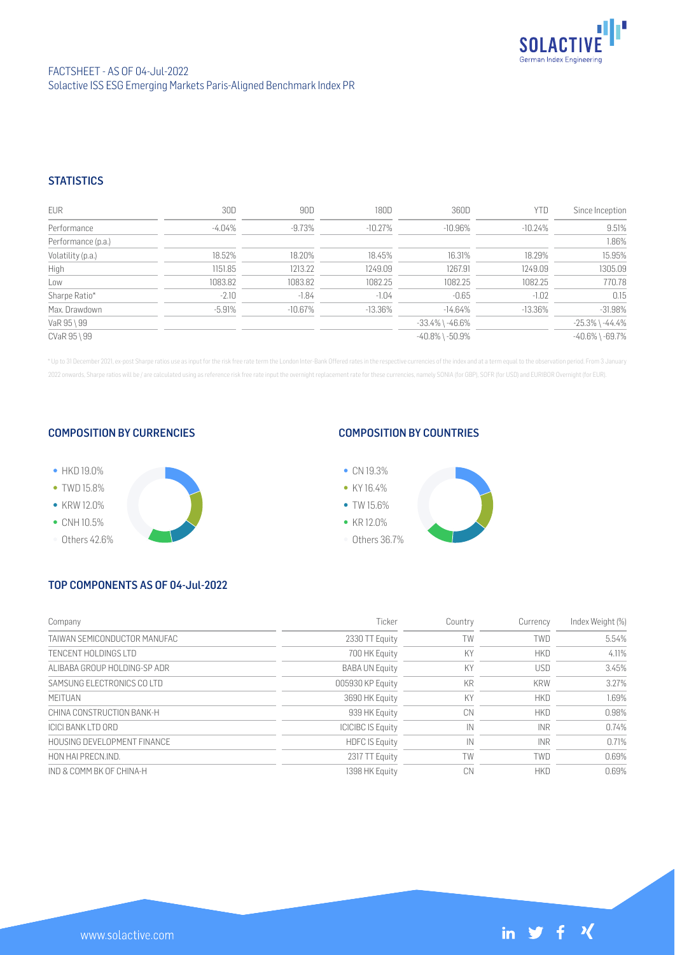

# **STATISTICS**

| <b>EUR</b>         | 30D      | 90D       | 180D      | 360D                  | YTD        | Since Inception       |
|--------------------|----------|-----------|-----------|-----------------------|------------|-----------------------|
| Performance        | -4.04%   | -9.73%    | -10.27%   | $-10.96\%$            | $-10.24%$  | 9.51%                 |
| Performance (p.a.) |          |           |           |                       |            | 1.86%                 |
| Volatility (p.a.)  | 18.52%   | 18.20%    | 18.45%    | 16.31%                | 18.29%     | 15.95%                |
| High               | 1151.85  | 1213.22   | 1249.09   | 1267.91               | 1249.09    | 1305.09               |
| Low                | 1083.82  | 1083.82   | 1082.25   | 1082.25               | 1082.25    | 770.78                |
| Sharpe Ratio*      | $-2.10$  | $-1.84$   | $-1.04$   | $-0.65$               | $-1.02$    | 0.15                  |
| Max. Drawdown      | $-5.91%$ | $-10.67%$ | $-13.36%$ | $-14.64\%$            | $-13.36\%$ | $-31.98%$             |
| VaR 95 \ 99        |          |           |           | $-33.4\%$ \ $-46.6\%$ |            | $-25.3\%$ \ $-44.4\%$ |
| CVaR 95 \ 99       |          |           |           | $-40.8\%$ \ $-50.9\%$ |            | $-40.6\%$ \ $-69.7\%$ |

\* Up to 31 December 2021, ex-post Sharpe ratios use as input for the risk free rate term the London Inter-Bank Offered rates in the respective currencies of the index and at a term equal to the observation period. From 3 J 2022 onwards, Sharpe ratios will be / are calculated using as reference risk free rate input the overnight replacement rate for these currencies, namely SONIA (for GBP), SOFR (for USD) and EURIBOR Overnight (for EUR).

## COMPOSITION BY CURRENCIES



# COMPOSITION BY COUNTRIES



# TOP COMPONENTS AS OF 04-Jul-2022

www.solactive.com

| Company                      | Ticker                   | Country   | Currency   | Index Weight (%) |
|------------------------------|--------------------------|-----------|------------|------------------|
| TAIWAN SEMICONDUCTOR MANUFAC | 2330 TT Equity           | TW        | TWD        | 5.54%            |
| TENCENT HOLDINGS LTD         | 700 HK Equity            | KY        | <b>HKD</b> | 4.11%            |
| ALIBABA GROUP HOLDING-SP ADR | <b>BABA UN Equity</b>    | KY        | <b>USD</b> | 3.45%            |
| SAMSUNG ELECTRONICS COLTD    | 005930 KP Equity         | <b>KR</b> | <b>KRW</b> | 3.27%            |
| <b>MFITUAN</b>               | 3690 HK Equity           | KY        | <b>HKD</b> | 1.69%            |
| CHINA CONSTRUCTION BANK-H    | 939 HK Equity            | СN        | <b>HKD</b> | 0.98%            |
| <b>ICICI BANK LTD ORD</b>    | <b>ICICIBC IS Equity</b> | IN        | <b>INR</b> | 0.74%            |
| HOUSING DEVELOPMENT FINANCE  | <b>HDFC IS Equity</b>    | IN        | <b>INR</b> | 0.71%            |
| HON HAI PRECN.IND.           | 2317 TT Equity           | TW        | <b>TWD</b> | 0.69%            |
| IND & COMM BK OF CHINA-H     | 1398 HK Equity           | CN        | <b>HKD</b> | 0.69%            |